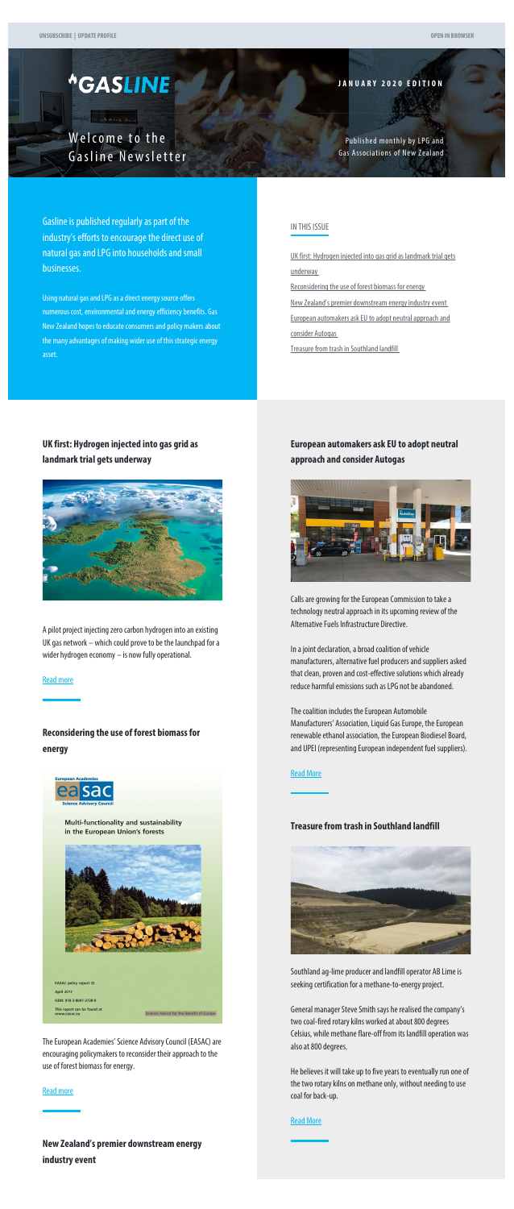# <span id="page-0-0"></span>*<u>\*GASLINE</u>*

**JANUARY 2020 EDITION**

Welcome to the Gasline Newsletter

Published monthly by LPG and Gas Associations of New Zealand

Gasline is published regularly as part of the industry's efforts to encourage the direct use of natural gas and LPG into households and small businesses.

Using natural gas and LPG as a direct energy source offers numerous cost, environmental and energy efficiency benefits. Gas New Zealand hopes to educate consumers and policy makers about the many advantages of making wider use of this strategic energy asset.

#### IN THIS ISSUE

[UK first: Hydrogen injected into gas grid as landmark trial gets](#page-0-0) [underway](#page-0-0)

[Reconsidering the use of forest biomass for energy](#page-0-0)

[New Zealand's premier downstream energy industry event](#page-0-0)

[European automakers ask EU to adopt neutral approach and](#page-0-0) [consider Autogas](#page-0-0)

[Treasure from trash in Southland landfill](#page-0-1)

**UK first: Hydrogen injected into gas grid as landmark trial gets underway**



A pilot project injecting zero carbon hydrogen into an existing UK gas network – which could prove to be the launchpad for a wider hydrogen economy – is now fully operational.

[Read more](http://www.gasnz.org.nz/uploads/Send-outs-2020/January2020/story-01.php)

# **Reconsidering the use of forest biomass for energy**

The European Academies' Science Advisory Council (EASAC) are encouraging policymakers to reconsider their approach to the use of forest biomass for energy.

#### [Read more](http://www.gasnz.org.nz/uploads/Send-outs-2020/January2020/story-02.php)

**New Zealand's premier downstream energy industry event**

# **European automakers ask EU to adopt neutral approach and consider Autogas**



Calls are growing for the European Commission to take a technology neutral approach in its upcoming review of the Alternative Fuels Infrastructure Directive.

In a joint declaration, a broad coalition of vehicle manufacturers, alternative fuel producers and suppliers asked that clean, proven and cost-effective solutions which already reduce harmful emissions such as LPG not be abandoned.

The coalition includes the European Automobile Manufacturers' Association, Liquid Gas Europe, the European renewable ethanol association, the European Biodiesel Board, and UPEI (representing European independent fuel suppliers).



Multi-functionality and sustainability in the European Union's forests

<span id="page-0-1"></span>

April 2017 ISBN: 978-3-8047-3728-0 This report can be found at<br>www.easac.eu

Science Advice for the Benefit of Europe

#### [Read More](http://www.gasnz.org.nz/uploads/Send-outs-2020/January2020/story-04.php)

## **Treasure from trash in Southland landfill**



Southland ag-lime producer and landfill operator AB Lime is seeking certification for a methane-to-energy project.

General manager Steve Smith says he realised the company's two coal-fired rotary kilns worked at about 800 degrees Celsius, while methane flare-off from its landfill operation was also at 800 degrees.

He believes it will take up to five years to eventually run one of the two rotary kilns on methane only, without needing to use coal for back-up.

#### [Read More](http://www.gasnz.org.nz/uploads/Send-outs-2020/January2020/story-05.php)